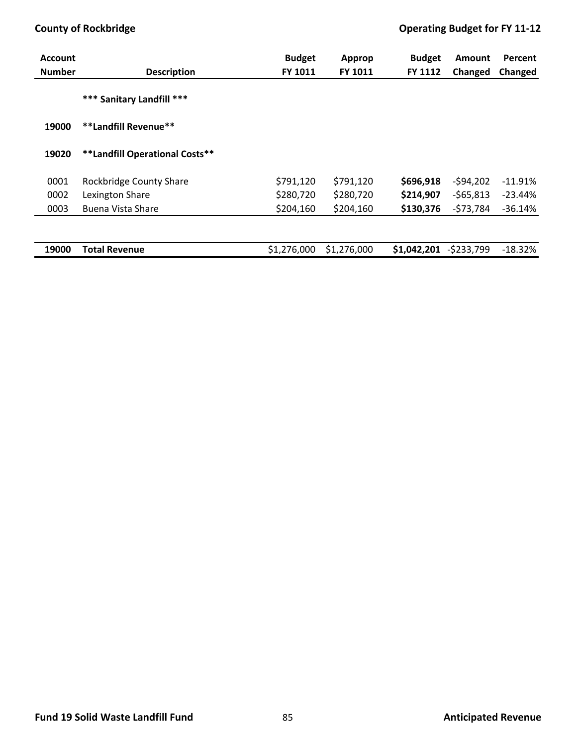| <b>Account</b> |                                | <b>Budget</b> | <b>Approp</b> | <b>Budget</b> | <b>Amount</b> | Percent   |
|----------------|--------------------------------|---------------|---------------|---------------|---------------|-----------|
| <b>Number</b>  | <b>Description</b>             | FY 1011       | FY 1011       | FY 1112       | Changed       | Changed   |
|                | *** Sanitary Landfill ***      |               |               |               |               |           |
| 19000          | **Landfill Revenue**           |               |               |               |               |           |
| 19020          | **Landfill Operational Costs** |               |               |               |               |           |
| 0001           | Rockbridge County Share        | \$791,120     | \$791,120     | \$696,918     | $-594,202$    | $-11.91%$ |
| 0002           | Lexington Share                | \$280,720     | \$280,720     | \$214,907     | $-565,813$    | $-23.44%$ |
| 0003           | <b>Buena Vista Share</b>       | \$204,160     | \$204,160     | \$130,376     | $-573,784$    | $-36.14%$ |
|                |                                |               |               |               |               |           |
| 19000          | <b>Total Revenue</b>           | \$1,276,000   | \$1,276,000   | \$1,042,201   | $-5233,799$   | $-18.32%$ |